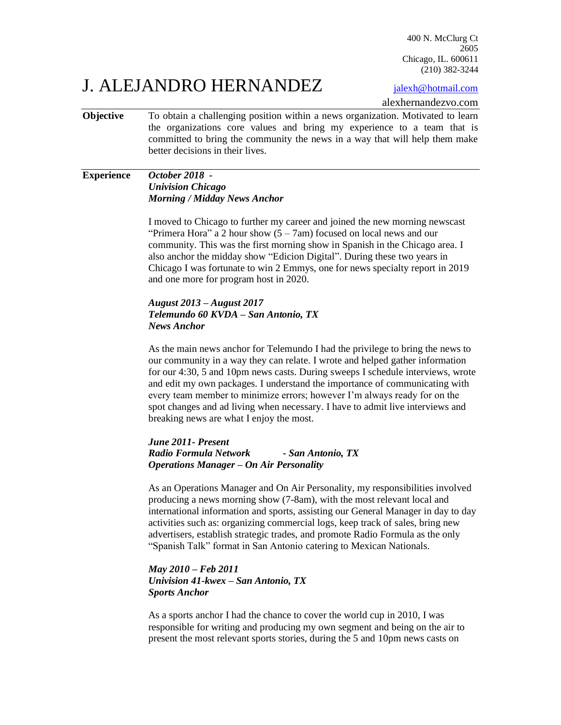400 N. McClurg Ct 2605 Chicago, IL. 600611 (210) 382-3244

## J. ALEJANDRO HERNANDEZ jalexh@hotmail.com

alexhernandezvo.com

**Objective** To obtain a challenging position within a news organization. Motivated to learn the organizations core values and bring my experience to a team that is committed to bring the community the news in a way that will help them make better decisions in their lives.

### **Experience** *October 2018 - Univision Chicago Morning / Midday News Anchor*

I moved to Chicago to further my career and joined the new morning newscast "Primera Hora" a 2 hour show  $(5 - 7am)$  focused on local news and our community. This was the first morning show in Spanish in the Chicago area. I also anchor the midday show "Edicion Digital". During these two years in Chicago I was fortunate to win 2 Emmys, one for news specialty report in 2019 and one more for program host in 2020.

### *August 2013 – August 2017 Telemundo 60 KVDA – San Antonio, TX News Anchor*

As the main news anchor for Telemundo I had the privilege to bring the news to our community in a way they can relate. I wrote and helped gather information for our 4:30, 5 and 10pm news casts. During sweeps I schedule interviews, wrote and edit my own packages. I understand the importance of communicating with every team member to minimize errors; however I'm always ready for on the spot changes and ad living when necessary. I have to admit live interviews and breaking news are what I enjoy the most.

### *June 2011- Present Radio Formula Network - San Antonio, TX Operations Manager – On Air Personality*

As an Operations Manager and On Air Personality, my responsibilities involved producing a news morning show (7-8am), with the most relevant local and international information and sports, assisting our General Manager in day to day activities such as: organizing commercial logs, keep track of sales, bring new advertisers, establish strategic trades, and promote Radio Formula as the only "Spanish Talk" format in San Antonio catering to Mexican Nationals.

### *May 2010 – Feb 2011 Univision 41-kwex – San Antonio, TX Sports Anchor*

As a sports anchor I had the chance to cover the world cup in 2010, I was responsible for writing and producing my own segment and being on the air to present the most relevant sports stories, during the 5 and 10pm news casts on